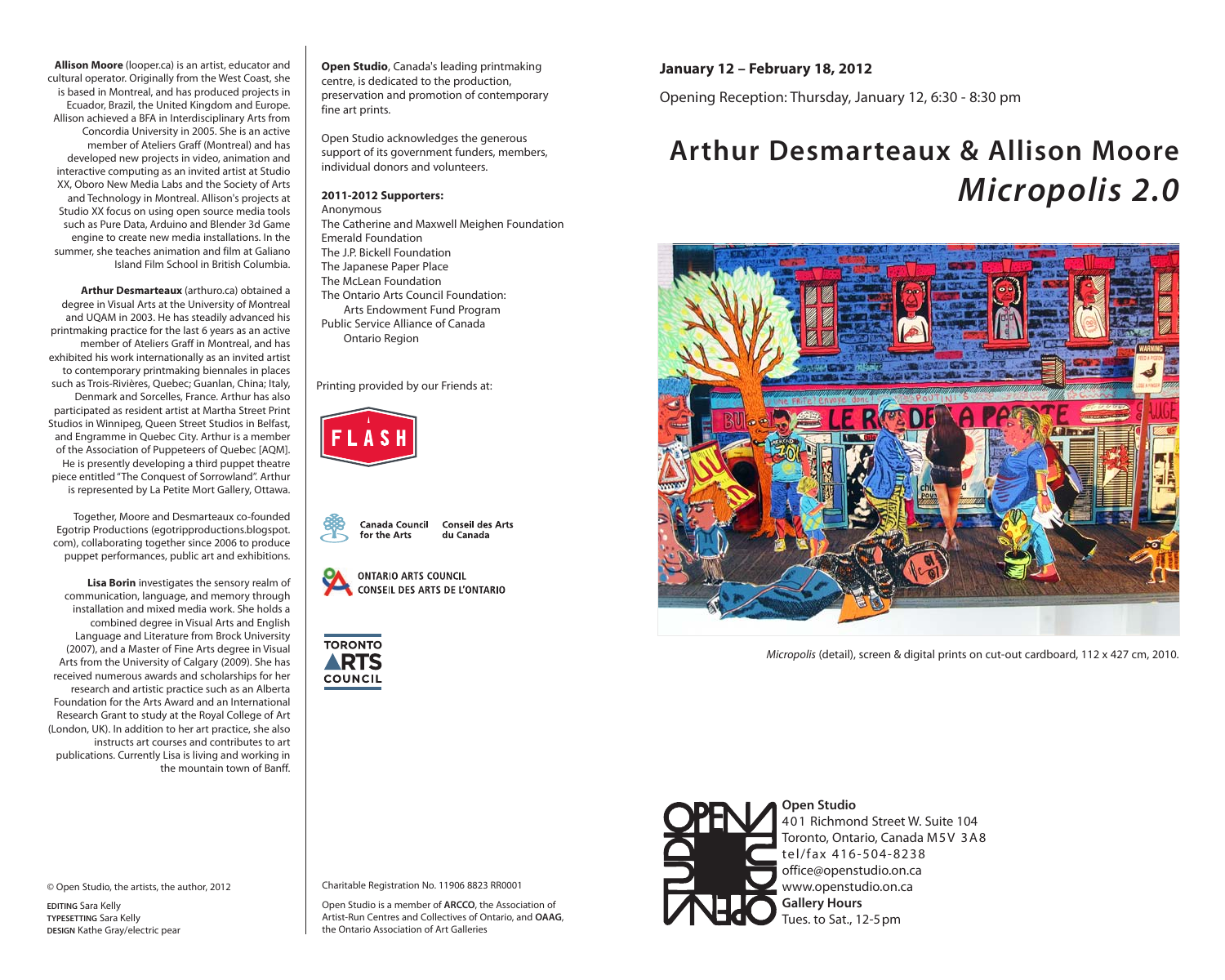**Allison Moore** (looper.ca) is an artist, educator and cultural operator. Originally from the West Coast, she is based in Montreal, and has produced projects in Ecuador, Brazil, the United Kingdom and Europe. Allison achieved a BFA in Interdisciplinary Arts from Concordia University in 2005. She is an active member of Ateliers Graff (Montreal) and has developed new projects in video, animation and interactive computing as an invited artist at Studio XX, Oboro New Media Labs and the Society of Arts and Technology in Montreal. Allison's projects at Studio XX focus on using open source media tools such as Pure Data, Arduino and Blender 3d Game engine to create new media installations. In the summer, she teaches animation and film at Galiano Island Film School in British Columbia.

**Arthur Desmarteaux** (arthuro.ca) obtained a degree in Visual Arts at the University of Montreal and UQAM in 2003. He has steadily advanced his printmaking practice for the last 6 years as an active member of Ateliers Graff in Montreal, and has exhibited his work internationally as an invited artist to contemporary printmaking biennales in places such as Trois-Rivières, Quebec; Guanlan, China; Italy, Denmark and Sorcelles, France. Arthur has also participated as resident artist at Martha Street Print Studios in Winnipeg, Queen Street Studios in Belfast, and Engramme in Quebec City. Arthur is a member of the Association of Puppeteers of Quebec [AQM]. He is presently developing a third puppet theatre piece entitled "The Conquest of Sorrowland". Arthur is represented by La Petite Mort Gallery, Ottawa.

Together, Moore and Desmarteaux co-founded Egotrip Productions (egotripproductions.blogspot. com), collaborating together since 2006 to produce puppet performances, public art and exhibitions.

**Lisa Borin** investigates the sensory realm of communication, language, and memory through installation and mixed media work. She holds a combined degree in Visual Arts and English Language and Literature from Brock University (2007), and a Master of Fine Arts degree in Visual Arts from the University of Calgary (2009). She has received numerous awards and scholarships for her research and artistic practice such as an Alberta Foundation for the Arts Award and an International Research Grant to study at the Royal College of Art (London, UK). In addition to her art practice, she also instructs art courses and contributes to art publications. Currently Lisa is living and working in the mountain town of Banff.

© Open Studio, the artists, the author, 2012

**EDITING** Sara Kelly **TYPESETTING** Sara Kelly **DESIGN** Kathe Gray/electric pear

**Open Studio**, Canada's leading printmaking centre, is dedicated to the production, preservation and promotion of contemporary fine art prints.

Open Studio acknowledges the generous support of its government funders, members, individual donors and volunteers.

## **2011-2012 Supporters:**

Anonymous The Catherine and Maxwell Meighen Foundation Emerald Foundation The J.P. Bickell Foundation The Japanese Paper Place The McLean Foundation

- The Ontario Arts Council Foundation: Arts Endowment Fund Program Public Service Alliance of Canada
- Ontario Region

Printing provided by our Friends at:





**ONTARIO ARTS COUNCIL CONSEIL DES ARTS DE L'ONTARIO** 





**January 12 – February 18, 2012**

Opening Reception: Thursday, January 12, 6:30 - 8:30 pm

## **Arthur Desmarteaux & Allison Moore** *Micropolis 2.0*



*Micropolis* (detail), screen & digital prints on cut-out cardboard, 112 x 427 cm, 2010.



**Open Studio** 401 Richmond Street W. Suite 104 Toronto, Ontario, Canada M5V 3A8 tel/fax 416-504-8238 office@openstudio.on.ca www.openstudio.on.ca **Gallery Hours**  Tues. to Sat., 12-5pm

Charitable Registration No. 11906 8823 RR0001

Open Studio is a member of **ARCCO**, the Association of Artist-Run Centres and Collectives of Ontario, and **OAAG**, the Ontario Association of Art Galleries